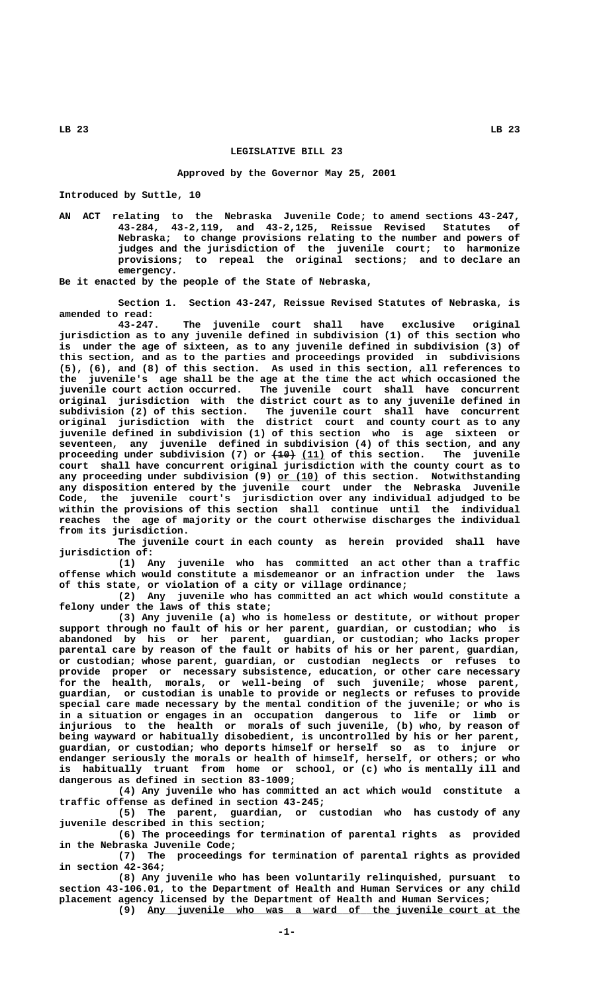## **LEGISLATIVE BILL 23**

## **Approved by the Governor May 25, 2001**

**Introduced by Suttle, 10**

**AN ACT relating to the Nebraska Juvenile Code; to amend sections 43-247, 43-284, 43-2,119, and 43-2,125, Reissue Revised Statutes of Nebraska; to change provisions relating to the number and powers of judges and the jurisdiction of the juvenile court; to harmonize provisions; to repeal the original sections; and to declare an emergency.**

**Be it enacted by the people of the State of Nebraska,**

**Section 1. Section 43-247, Reissue Revised Statutes of Nebraska, is amended to read:**

**43-247. The juvenile court shall have exclusive original jurisdiction as to any juvenile defined in subdivision (1) of this section who is under the age of sixteen, as to any juvenile defined in subdivision (3) of this section, and as to the parties and proceedings provided in subdivisions (5), (6), and (8) of this section. As used in this section, all references to the juvenile's age shall be the age at the time the act which occasioned the juvenile court action occurred. The juvenile court shall have concurrent original jurisdiction with the district court as to any juvenile defined in subdivision (2) of this section. The juvenile court shall have concurrent original jurisdiction with the district court and county court as to any juvenile defined in subdivision (1) of this section who is age sixteen or seventeen, any juvenile defined in subdivision (4) of this section, and any ———— \_\_\_\_ proceeding under subdivision (7) or (10) (11) of this section. The juvenile court shall have concurrent original jurisdiction with the county court as to** any proceeding under subdivision (9) <u>or (10)</u> of this section. Notwithstanding **any disposition entered by the juvenile court under the Nebraska Juvenile Code, the juvenile court's jurisdiction over any individual adjudged to be within the provisions of this section shall continue until the individual reaches the age of majority or the court otherwise discharges the individual from its jurisdiction.**

**The juvenile court in each county as herein provided shall have jurisdiction of:**

**(1) Any juvenile who has committed an act other than a traffic offense which would constitute a misdemeanor or an infraction under the laws of this state, or violation of a city or village ordinance;**

**(2) Any juvenile who has committed an act which would constitute a felony under the laws of this state;**

**(3) Any juvenile (a) who is homeless or destitute, or without proper support through no fault of his or her parent, guardian, or custodian; who is abandoned by his or her parent, guardian, or custodian; who lacks proper parental care by reason of the fault or habits of his or her parent, guardian, or custodian; whose parent, guardian, or custodian neglects or refuses to provide proper or necessary subsistence, education, or other care necessary for the health, morals, or well-being of such juvenile; whose parent, guardian, or custodian is unable to provide or neglects or refuses to provide special care made necessary by the mental condition of the juvenile; or who is in a situation or engages in an occupation dangerous to life or limb or injurious to the health or morals of such juvenile, (b) who, by reason of being wayward or habitually disobedient, is uncontrolled by his or her parent, guardian, or custodian; who deports himself or herself so as to injure or endanger seriously the morals or health of himself, herself, or others; or who is habitually truant from home or school, or (c) who is mentally ill and dangerous as defined in section 83-1009;**

**(4) Any juvenile who has committed an act which would constitute a traffic offense as defined in section 43-245;**

**(5) The parent, guardian, or custodian who has custody of any juvenile described in this section;**

**(6) The proceedings for termination of parental rights as provided in the Nebraska Juvenile Code;**

**(7) The proceedings for termination of parental rights as provided in section 42-364;**

**(8) Any juvenile who has been voluntarily relinquished, pursuant to section 43-106.01, to the Department of Health and Human Services or any child placement agency licensed by the Department of Health and Human Services;**

 **\_\_\_\_\_\_\_\_\_\_\_\_\_\_\_\_\_\_\_\_\_\_\_\_\_\_\_\_\_\_\_\_\_\_\_\_\_\_\_\_\_\_\_\_\_\_\_\_\_\_\_\_\_\_\_\_\_\_\_\_\_\_\_ (9) Any juvenile who was a ward of the juvenile court at the**